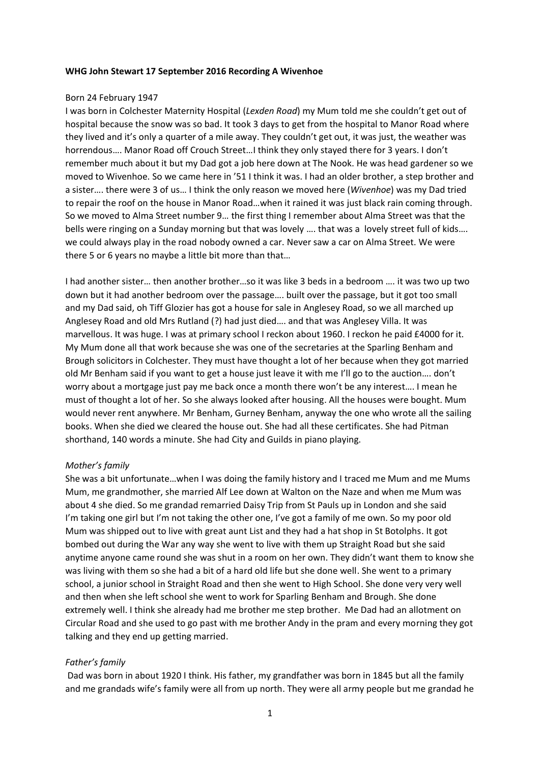### **WHG John Stewart 17 September 2016 Recording A Wivenhoe**

### Born 24 February 1947

I was born in Colchester Maternity Hospital (*Lexden Road*) my Mum told me she couldn't get out of hospital because the snow was so bad. It took 3 days to get from the hospital to Manor Road where they lived and it's only a quarter of a mile away. They couldn't get out, it was just, the weather was horrendous…. Manor Road off Crouch Street…I think they only stayed there for 3 years. I don't remember much about it but my Dad got a job here down at The Nook. He was head gardener so we moved to Wivenhoe. So we came here in '51 I think it was. I had an older brother, a step brother and a sister…. there were 3 of us… I think the only reason we moved here (*Wivenhoe*) was my Dad tried to repair the roof on the house in Manor Road…when it rained it was just black rain coming through. So we moved to Alma Street number 9… the first thing I remember about Alma Street was that the bells were ringing on a Sunday morning but that was lovely .... that was a lovely street full of kids.... we could always play in the road nobody owned a car. Never saw a car on Alma Street. We were there 5 or 6 years no maybe a little bit more than that…

I had another sister… then another brother…so it was like 3 beds in a bedroom …. it was two up two down but it had another bedroom over the passage…. built over the passage, but it got too small and my Dad said, oh Tiff Glozier has got a house for sale in Anglesey Road, so we all marched up Anglesey Road and old Mrs Rutland (?) had just died…. and that was Anglesey Villa. It was marvellous. It was huge. I was at primary school I reckon about 1960. I reckon he paid £4000 for it. My Mum done all that work because she was one of the secretaries at the Sparling Benham and Brough solicitors in Colchester. They must have thought a lot of her because when they got married old Mr Benham said if you want to get a house just leave it with me I'll go to the auction…. don't worry about a mortgage just pay me back once a month there won't be any interest…. I mean he must of thought a lot of her. So she always looked after housing. All the houses were bought. Mum would never rent anywhere. Mr Benham, Gurney Benham, anyway the one who wrote all the sailing books. When she died we cleared the house out. She had all these certificates. She had Pitman shorthand, 140 words a minute. She had City and Guilds in piano playing.

# *Mother's family*

She was a bit unfortunate…when I was doing the family history and I traced me Mum and me Mums Mum, me grandmother, she married Alf Lee down at Walton on the Naze and when me Mum was about 4 she died. So me grandad remarried Daisy Trip from St Pauls up in London and she said I'm taking one girl but I'm not taking the other one, I've got a family of me own. So my poor old Mum was shipped out to live with great aunt List and they had a hat shop in St Botolphs. It got bombed out during the War any way she went to live with them up Straight Road but she said anytime anyone came round she was shut in a room on her own. They didn't want them to know she was living with them so she had a bit of a hard old life but she done well. She went to a primary school, a junior school in Straight Road and then she went to High School. She done very very well and then when she left school she went to work for Sparling Benham and Brough. She done extremely well. I think she already had me brother me step brother. Me Dad had an allotment on Circular Road and she used to go past with me brother Andy in the pram and every morning they got talking and they end up getting married.

# *Father's family*

Dad was born in about 1920 I think. His father, my grandfather was born in 1845 but all the family and me grandads wife's family were all from up north. They were all army people but me grandad he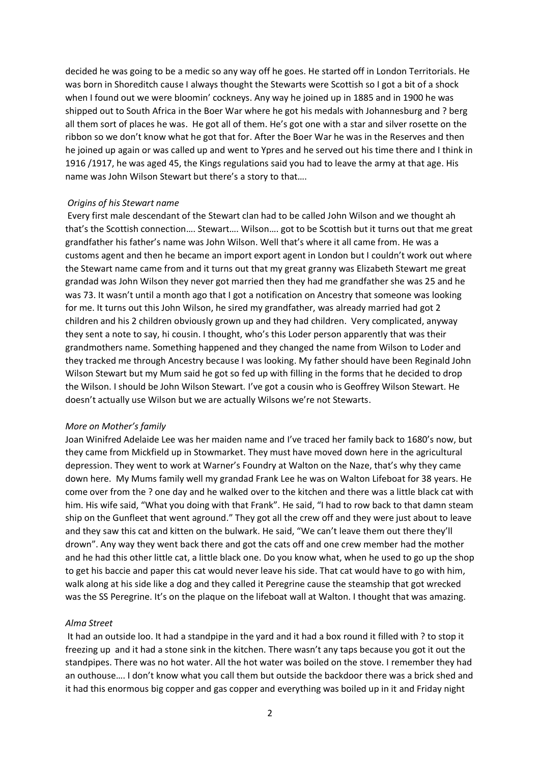decided he was going to be a medic so any way off he goes. He started off in London Territorials. He was born in Shoreditch cause I always thought the Stewarts were Scottish so I got a bit of a shock when I found out we were bloomin' cockneys. Any way he joined up in 1885 and in 1900 he was shipped out to South Africa in the Boer War where he got his medals with Johannesburg and ? berg all them sort of places he was. He got all of them. He's got one with a star and silver rosette on the ribbon so we don't know what he got that for. After the Boer War he was in the Reserves and then he joined up again or was called up and went to Ypres and he served out his time there and I think in 1916 /1917, he was aged 45, the Kings regulations said you had to leave the army at that age. His name was John Wilson Stewart but there's a story to that….

#### *Origins of his Stewart name*

Every first male descendant of the Stewart clan had to be called John Wilson and we thought ah that's the Scottish connection…. Stewart…. Wilson…. got to be Scottish but it turns out that me great grandfather his father's name was John Wilson. Well that's where it all came from. He was a customs agent and then he became an import export agent in London but I couldn't work out where the Stewart name came from and it turns out that my great granny was Elizabeth Stewart me great grandad was John Wilson they never got married then they had me grandfather she was 25 and he was 73. It wasn't until a month ago that I got a notification on Ancestry that someone was looking for me. It turns out this John Wilson, he sired my grandfather, was already married had got 2 children and his 2 children obviously grown up and they had children. Very complicated, anyway they sent a note to say, hi cousin. I thought, who's this Loder person apparently that was their grandmothers name. Something happened and they changed the name from Wilson to Loder and they tracked me through Ancestry because I was looking. My father should have been Reginald John Wilson Stewart but my Mum said he got so fed up with filling in the forms that he decided to drop the Wilson. I should be John Wilson Stewart. I've got a cousin who is Geoffrey Wilson Stewart. He doesn't actually use Wilson but we are actually Wilsons we're not Stewarts.

#### *More on Mother's family*

Joan Winifred Adelaide Lee was her maiden name and I've traced her family back to 1680's now, but they came from Mickfield up in Stowmarket. They must have moved down here in the agricultural depression. They went to work at Warner's Foundry at Walton on the Naze, that's why they came down here. My Mums family well my grandad Frank Lee he was on Walton Lifeboat for 38 years. He come over from the ? one day and he walked over to the kitchen and there was a little black cat with him. His wife said, "What you doing with that Frank". He said, "I had to row back to that damn steam ship on the Gunfleet that went aground." They got all the crew off and they were just about to leave and they saw this cat and kitten on the bulwark. He said, "We can't leave them out there they'll drown". Any way they went back there and got the cats off and one crew member had the mother and he had this other little cat, a little black one. Do you know what, when he used to go up the shop to get his baccie and paper this cat would never leave his side. That cat would have to go with him, walk along at his side like a dog and they called it Peregrine cause the steamship that got wrecked was the SS Peregrine. It's on the plaque on the lifeboat wall at Walton. I thought that was amazing.

#### *Alma Street*

It had an outside loo. It had a standpipe in the yard and it had a box round it filled with ? to stop it freezing up and it had a stone sink in the kitchen. There wasn't any taps because you got it out the standpipes. There was no hot water. All the hot water was boiled on the stove. I remember they had an outhouse…. I don't know what you call them but outside the backdoor there was a brick shed and it had this enormous big copper and gas copper and everything was boiled up in it and Friday night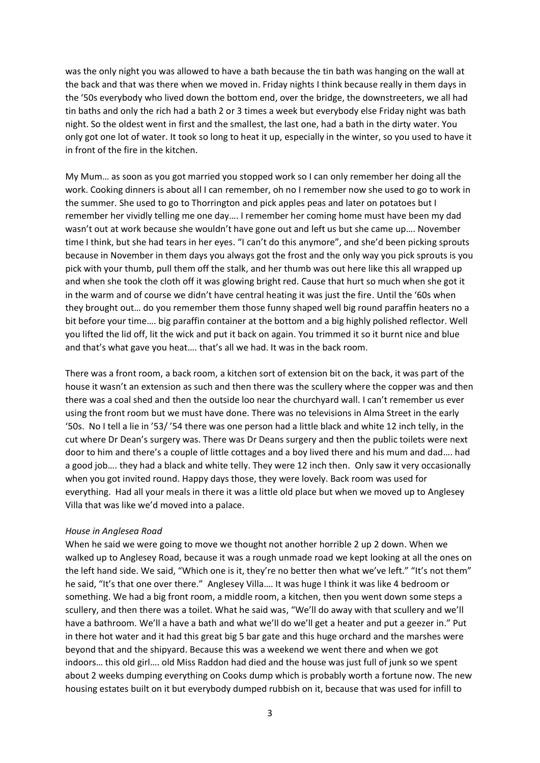was the only night you was allowed to have a bath because the tin bath was hanging on the wall at the back and that was there when we moved in. Friday nights I think because really in them days in the '50s everybody who lived down the bottom end, over the bridge, the downstreeters, we all had tin baths and only the rich had a bath 2 or 3 times a week but everybody else Friday night was bath night. So the oldest went in first and the smallest, the last one, had a bath in the dirty water. You only got one lot of water. It took so long to heat it up, especially in the winter, so you used to have it in front of the fire in the kitchen.

My Mum… as soon as you got married you stopped work so I can only remember her doing all the work. Cooking dinners is about all I can remember, oh no I remember now she used to go to work in the summer. She used to go to Thorrington and pick apples peas and later on potatoes but I remember her vividly telling me one day…. I remember her coming home must have been my dad wasn't out at work because she wouldn't have gone out and left us but she came up…. November time I think, but she had tears in her eyes. "I can't do this anymore", and she'd been picking sprouts because in November in them days you always got the frost and the only way you pick sprouts is you pick with your thumb, pull them off the stalk, and her thumb was out here like this all wrapped up and when she took the cloth off it was glowing bright red. Cause that hurt so much when she got it in the warm and of course we didn't have central heating it was just the fire. Until the '60s when they brought out… do you remember them those funny shaped well big round paraffin heaters no a bit before your time…. big paraffin container at the bottom and a big highly polished reflector. Well you lifted the lid off, lit the wick and put it back on again. You trimmed it so it burnt nice and blue and that's what gave you heat…. that's all we had. It was in the back room.

There was a front room, a back room, a kitchen sort of extension bit on the back, it was part of the house it wasn't an extension as such and then there was the scullery where the copper was and then there was a coal shed and then the outside loo near the churchyard wall. I can't remember us ever using the front room but we must have done. There was no televisions in Alma Street in the early '50s. No I tell a lie in '53/ '54 there was one person had a little black and white 12 inch telly, in the cut where Dr Dean's surgery was. There was Dr Deans surgery and then the public toilets were next door to him and there's a couple of little cottages and a boy lived there and his mum and dad…. had a good job…. they had a black and white telly. They were 12 inch then. Only saw it very occasionally when you got invited round. Happy days those, they were lovely. Back room was used for everything. Had all your meals in there it was a little old place but when we moved up to Anglesey Villa that was like we'd moved into a palace.

#### *House in Anglesea Road*

When he said we were going to move we thought not another horrible 2 up 2 down. When we walked up to Anglesey Road, because it was a rough unmade road we kept looking at all the ones on the left hand side. We said, "Which one is it, they're no better then what we've left." "It's not them" he said, "It's that one over there." Anglesey Villa…. It was huge I think it was like 4 bedroom or something. We had a big front room, a middle room, a kitchen, then you went down some steps a scullery, and then there was a toilet. What he said was, "We'll do away with that scullery and we'll have a bathroom. We'll a have a bath and what we'll do we'll get a heater and put a geezer in." Put in there hot water and it had this great big 5 bar gate and this huge orchard and the marshes were beyond that and the shipyard. Because this was a weekend we went there and when we got indoors… this old girl…. old Miss Raddon had died and the house was just full of junk so we spent about 2 weeks dumping everything on Cooks dump which is probably worth a fortune now. The new housing estates built on it but everybody dumped rubbish on it, because that was used for infill to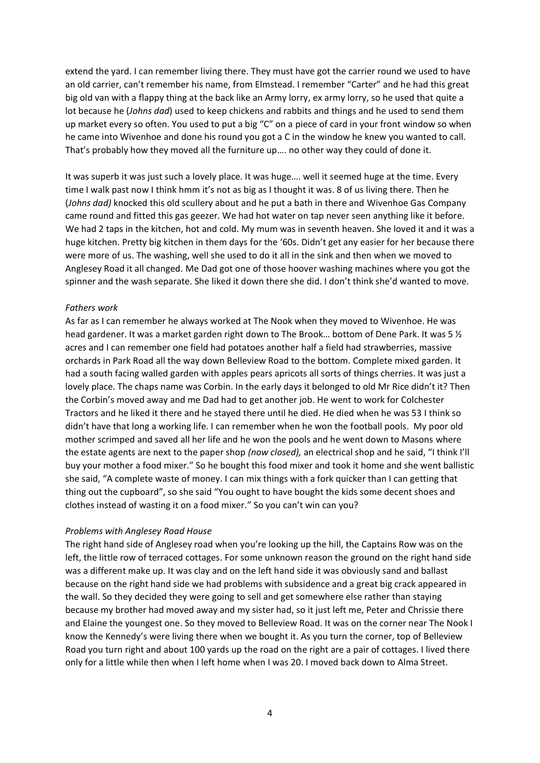extend the yard. I can remember living there. They must have got the carrier round we used to have an old carrier, can't remember his name, from Elmstead. I remember "Carter" and he had this great big old van with a flappy thing at the back like an Army lorry, ex army lorry, so he used that quite a lot because he (*Johns dad*) used to keep chickens and rabbits and things and he used to send them up market every so often. You used to put a big "C" on a piece of card in your front window so when he came into Wivenhoe and done his round you got a C in the window he knew you wanted to call. That's probably how they moved all the furniture up…. no other way they could of done it.

It was superb it was just such a lovely place. It was huge…. well it seemed huge at the time. Every time I walk past now I think hmm it's not as big as I thought it was. 8 of us living there. Then he (*Johns dad)* knocked this old scullery about and he put a bath in there and Wivenhoe Gas Company came round and fitted this gas geezer. We had hot water on tap never seen anything like it before. We had 2 taps in the kitchen, hot and cold. My mum was in seventh heaven. She loved it and it was a huge kitchen. Pretty big kitchen in them days for the '60s. Didn't get any easier for her because there were more of us. The washing, well she used to do it all in the sink and then when we moved to Anglesey Road it all changed. Me Dad got one of those hoover washing machines where you got the spinner and the wash separate. She liked it down there she did. I don't think she'd wanted to move.

### *Fathers work*

As far as I can remember he always worked at The Nook when they moved to Wivenhoe. He was head gardener. It was a market garden right down to The Brook... bottom of Dene Park. It was 5  $\frac{1}{2}$ acres and I can remember one field had potatoes another half a field had strawberries, massive orchards in Park Road all the way down Belleview Road to the bottom. Complete mixed garden. It had a south facing walled garden with apples pears apricots all sorts of things cherries. It was just a lovely place. The chaps name was Corbin. In the early days it belonged to old Mr Rice didn't it? Then the Corbin's moved away and me Dad had to get another job. He went to work for Colchester Tractors and he liked it there and he stayed there until he died. He died when he was 53 I think so didn't have that long a working life. I can remember when he won the football pools. My poor old mother scrimped and saved all her life and he won the pools and he went down to Masons where the estate agents are next to the paper shop *(now closed),* an electrical shop and he said, "I think I'll buy your mother a food mixer." So he bought this food mixer and took it home and she went ballistic she said, "A complete waste of money. I can mix things with a fork quicker than I can getting that thing out the cupboard", so she said "You ought to have bought the kids some decent shoes and clothes instead of wasting it on a food mixer." So you can't win can you?

### *Problems with Anglesey Road House*

The right hand side of Anglesey road when you're looking up the hill, the Captains Row was on the left, the little row of terraced cottages. For some unknown reason the ground on the right hand side was a different make up. It was clay and on the left hand side it was obviously sand and ballast because on the right hand side we had problems with subsidence and a great big crack appeared in the wall. So they decided they were going to sell and get somewhere else rather than staying because my brother had moved away and my sister had, so it just left me, Peter and Chrissie there and Elaine the youngest one. So they moved to Belleview Road. It was on the corner near The Nook I know the Kennedy's were living there when we bought it. As you turn the corner, top of Belleview Road you turn right and about 100 yards up the road on the right are a pair of cottages. I lived there only for a little while then when I left home when I was 20. I moved back down to Alma Street.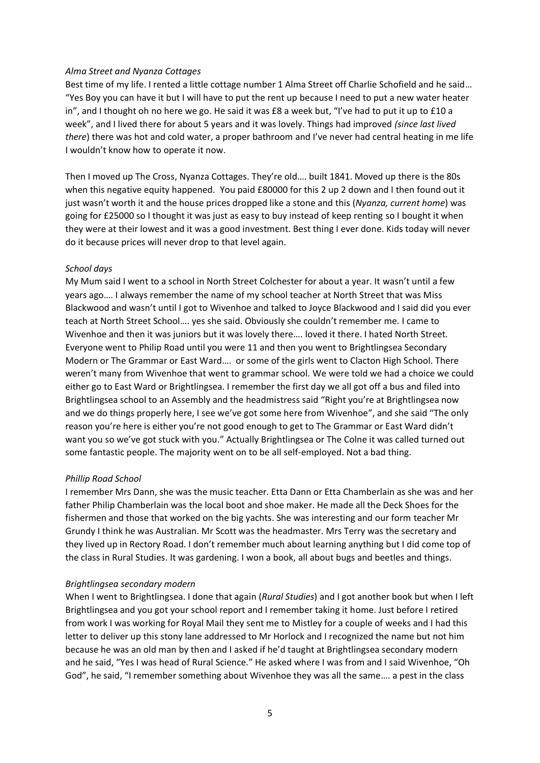### *Alma Street and Nyanza Cottages*

Best time of my life. I rented a little cottage number 1 Alma Street off Charlie Schofield and he said… "Yes Boy you can have it but I will have to put the rent up because I need to put a new water heater in", and I thought oh no here we go. He said it was £8 a week but, "I've had to put it up to £10 a week", and I lived there for about 5 years and it was lovely. Things had improved *(since last lived there*) there was hot and cold water, a proper bathroom and I've never had central heating in me life I wouldn't know how to operate it now.

Then I moved up The Cross, Nyanza Cottages. They're old…. built 1841. Moved up there is the 80s when this negative equity happened. You paid £80000 for this 2 up 2 down and I then found out it just wasn't worth it and the house prices dropped like a stone and this (*Nyanza, current home*) was going for £25000 so I thought it was just as easy to buy instead of keep renting so I bought it when they were at their lowest and it was a good investment. Best thing I ever done. Kids today will never do it because prices will never drop to that level again.

# *School days*

My Mum said I went to a school in North Street Colchester for about a year. It wasn't until a few years ago…. I always remember the name of my school teacher at North Street that was Miss Blackwood and wasn't until I got to Wivenhoe and talked to Joyce Blackwood and I said did you ever teach at North Street School…. yes she said. Obviously she couldn't remember me. I came to Wivenhoe and then it was juniors but it was lovely there…. loved it there. I hated North Street. Everyone went to Philip Road until you were 11 and then you went to Brightlingsea Secondary Modern or The Grammar or East Ward…. or some of the girls went to Clacton High School. There weren't many from Wivenhoe that went to grammar school*.* We were told we had a choice we could either go to East Ward or Brightlingsea. I remember the first day we all got off a bus and filed into Brightlingsea school to an Assembly and the headmistress said "Right you're at Brightlingsea now and we do things properly here, I see we've got some here from Wivenhoe", and she said "The only reason you're here is either you're not good enough to get to The Grammar or East Ward didn't want you so we've got stuck with you." Actually Brightlingsea or The Colne it was called turned out some fantastic people. The majority went on to be all self-employed. Not a bad thing.

# *Phillip Road School*

I remember Mrs Dann, she was the music teacher. Etta Dann or Etta Chamberlain as she was and her father Philip Chamberlain was the local boot and shoe maker. He made all the Deck Shoes for the fishermen and those that worked on the big yachts. She was interesting and our form teacher Mr Grundy I think he was Australian. Mr Scott was the headmaster. Mrs Terry was the secretary and they lived up in Rectory Road. I don't remember much about learning anything but I did come top of the class in Rural Studies. It was gardening. I won a book, all about bugs and beetles and things.

# *Brightlingsea secondary modern*

When I went to Brightlingsea. I done that again (*Rural Studies*) and I got another book but when I left Brightlingsea and you got your school report and I remember taking it home. Just before I retired from work I was working for Royal Mail they sent me to Mistley for a couple of weeks and I had this letter to deliver up this stony lane addressed to Mr Horlock and I recognized the name but not him because he was an old man by then and I asked if he'd taught at Brightlingsea secondary modern and he said, "Yes I was head of Rural Science." He asked where I was from and I said Wivenhoe, "Oh God", he said, "I remember something about Wivenhoe they was all the same…. a pest in the class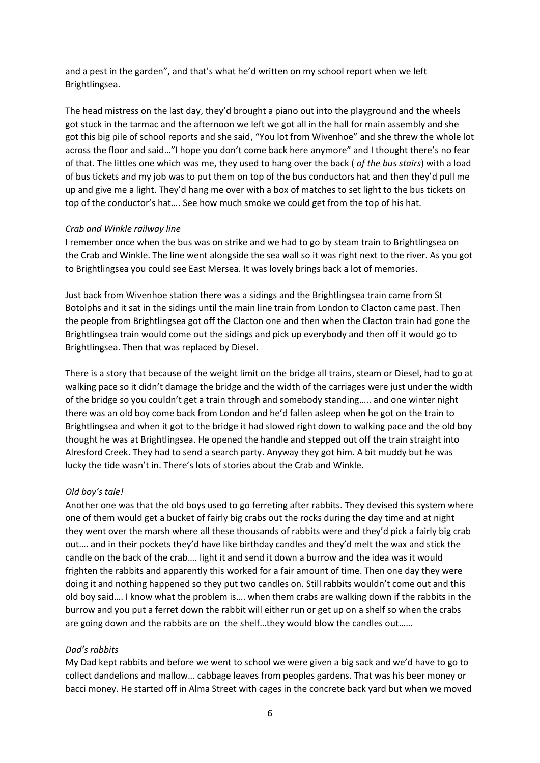and a pest in the garden", and that's what he'd written on my school report when we left Brightlingsea.

The head mistress on the last day, they'd brought a piano out into the playground and the wheels got stuck in the tarmac and the afternoon we left we got all in the hall for main assembly and she got this big pile of school reports and she said, "You lot from Wivenhoe" and she threw the whole lot across the floor and said…"I hope you don't come back here anymore" and I thought there's no fear of that. The littles one which was me, they used to hang over the back ( *of the bus stairs*) with a load of bus tickets and my job was to put them on top of the bus conductors hat and then they'd pull me up and give me a light. They'd hang me over with a box of matches to set light to the bus tickets on top of the conductor's hat…. See how much smoke we could get from the top of his hat.

### *Crab and Winkle railway line*

I remember once when the bus was on strike and we had to go by steam train to Brightlingsea on the Crab and Winkle. The line went alongside the sea wall so it was right next to the river. As you got to Brightlingsea you could see East Mersea. It was lovely brings back a lot of memories.

Just back from Wivenhoe station there was a sidings and the Brightlingsea train came from St Botolphs and it sat in the sidings until the main line train from London to Clacton came past. Then the people from Brightlingsea got off the Clacton one and then when the Clacton train had gone the Brightlingsea train would come out the sidings and pick up everybody and then off it would go to Brightlingsea. Then that was replaced by Diesel.

There is a story that because of the weight limit on the bridge all trains, steam or Diesel, had to go at walking pace so it didn't damage the bridge and the width of the carriages were just under the width of the bridge so you couldn't get a train through and somebody standing….. and one winter night there was an old boy come back from London and he'd fallen asleep when he got on the train to Brightlingsea and when it got to the bridge it had slowed right down to walking pace and the old boy thought he was at Brightlingsea. He opened the handle and stepped out off the train straight into Alresford Creek. They had to send a search party. Anyway they got him. A bit muddy but he was lucky the tide wasn't in. There's lots of stories about the Crab and Winkle.

### *Old boy's tale!*

Another one was that the old boys used to go ferreting after rabbits. They devised this system where one of them would get a bucket of fairly big crabs out the rocks during the day time and at night they went over the marsh where all these thousands of rabbits were and they'd pick a fairly big crab out…. and in their pockets they'd have like birthday candles and they'd melt the wax and stick the candle on the back of the crab…. light it and send it down a burrow and the idea was it would frighten the rabbits and apparently this worked for a fair amount of time. Then one day they were doing it and nothing happened so they put two candles on. Still rabbits wouldn't come out and this old boy said…. I know what the problem is…. when them crabs are walking down if the rabbits in the burrow and you put a ferret down the rabbit will either run or get up on a shelf so when the crabs are going down and the rabbits are on the shelf…they would blow the candles out*……*

### *Dad's rabbits*

My Dad kept rabbits and before we went to school we were given a big sack and we'd have to go to collect dandelions and mallow… cabbage leaves from peoples gardens. That was his beer money or bacci money. He started off in Alma Street with cages in the concrete back yard but when we moved